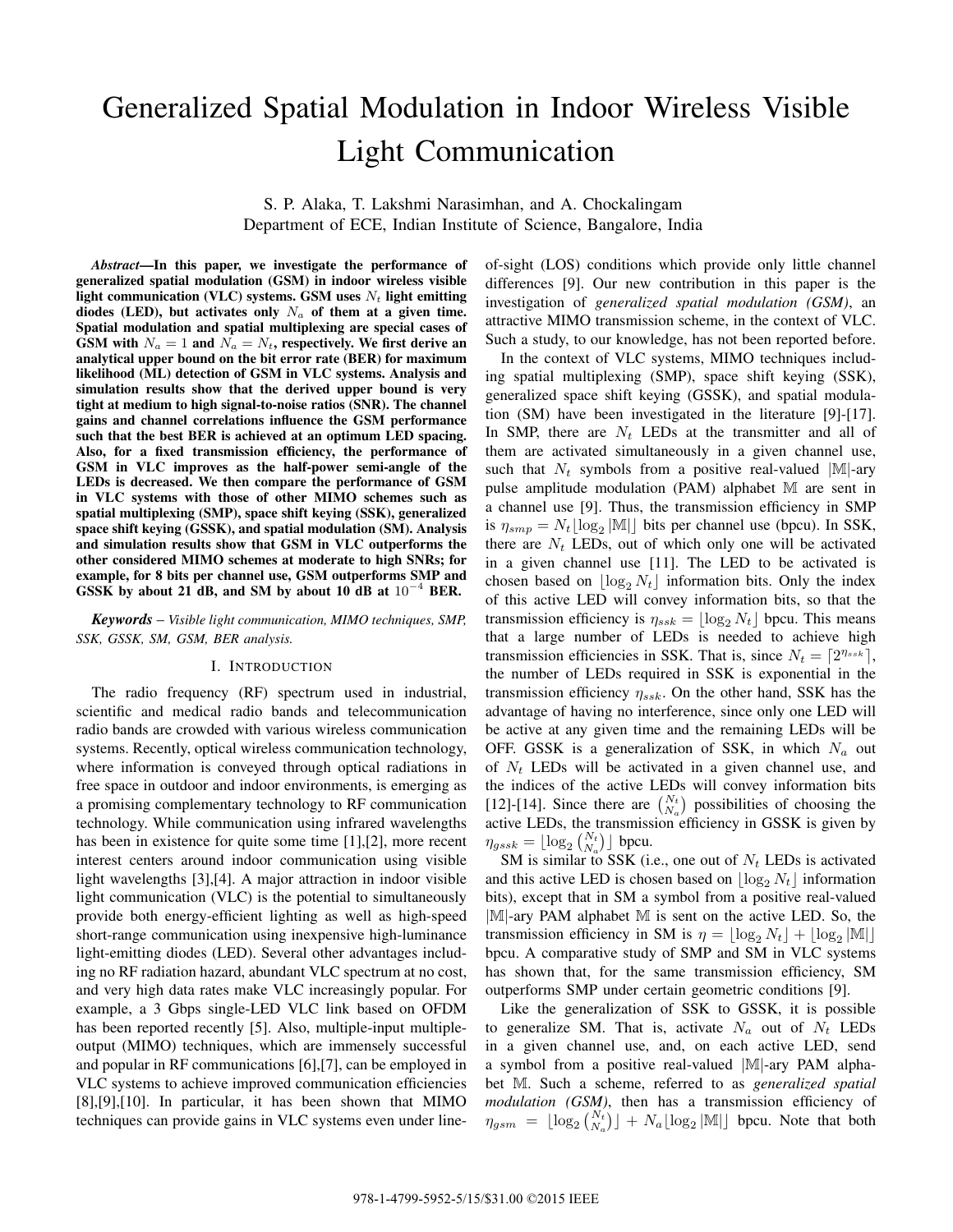# Generalized Spatial Modulation in Indoor Wireless Visible Light Communication

S. P. Alaka, T. Lakshmi Narasimhan, and A. Chockalingam Department of ECE, Indian Institute of Science, Bangalore, India

*Abstract***—In this paper, we investigate the performance of generalized spatial modulation (GSM) in indoor wireless visible light communication (VLC) systems. GSM uses**  $N_t$  **light emitting diodes (LED), but activates only** <sup>N</sup>*a* **of them at a given time. Spatial modulation and spatial multiplexing are special cases of GSM** with  $N_a = 1$  and  $N_a = N_t$ , respectively. We first derive an **analytical upper bound on the bit error rate (BER) for maximum likelihood (ML) detection of GSM in VLC systems. Analysis and simulation results show that the derived upper bound is very tight at medium to high signal-to-noise ratios (SNR). The channel gains and channel correlations influence the GSM performance such that the best BER is achieved at an optimum LED spacing. Also, for a fixed transmission efficiency, the performance of GSM in VLC improves as the half-power semi-angle of the LEDs is decreased. We then compare the performance of GSM in VLC systems with those of other MIMO schemes such as spatial multiplexing (SMP), space shift keying (SSK), generalized space shift keying (GSSK), and spatial modulation (SM). Analysis and simulation results show that GSM in VLC outperforms the other considered MIMO schemes at moderate to high SNRs; for example, for 8 bits per channel use, GSM outperforms SMP and GSSK by about 21 dB, and SM by about 10 dB at** 10−<sup>4</sup> **BER.**

*Keywords* – *Visible light communication, MIMO techniques, SMP, SSK, GSSK, SM, GSM, BER analysis.*

#### I. INTRODUCTION

The radio frequency (RF) spectrum used in industrial, scientific and medical radio bands and telecommunication radio bands are crowded with various wireless communication systems. Recently, optical wireless communication technology, where information is conveyed through optical radiations in free space in outdoor and indoor environments, is emerging as a promising complementary technology to RF communication technology. While communication using infrared wavelengths has been in existence for quite some time [1], [2], more recent interest centers around indoor communication using visible light wavelengths [3],[4]. A major attraction in indoor visible light communication (VLC) is the potential to simultaneously provide both energy-efficient lighting as well as high-speed short-range communication using inexpensive high-luminance light-emitting diodes (LED). Several other advantages including no RF radiation hazard, abundant VLC spectrum at no cost, and very high data rates make VLC increasingly popular. For example, a 3 Gbps single-LED VLC link based on OFDM has been reported recently [5]. Also, multiple-input multipleoutput (MIMO) techniques, which are immensely successful and popular in RF communications [6],[7], can be employed in VLC systems to achieve improved communication efficiencies [8],[9],[10]. In particular, it has been shown that MIMO techniques can provide gains in VLC systems even under lineof-sight (LOS) conditions which provide only little channel differences [9]. Our new contribution in this paper is the investigation of *generalized spatial modulation (GSM)*, an attractive MIMO transmission scheme, in the context of VLC. Such a study, to our knowledge, has not been reported before.

In the context of VLC systems, MIMO techniques including spatial multiplexing (SMP), space shift keying (SSK), generalized space shift keying (GSSK), and spatial modulation (SM) have been investigated in the literature [9]-[17]. In SMP, there are  $N_t$  LEDs at the transmitter and all of them are activated simultaneously in a given channel use, such that  $N_t$  symbols from a positive real-valued  $|\mathbb{M}|$ -ary pulse amplitude modulation (PAM) alphabet M are sent in a channel use [9]. Thus, the transmission efficiency in SMP is  $\eta_{smp} = N_t \lfloor \log_2 |\mathbb{M}| \rfloor$  bits per channel use (bpcu). In SSK, there are  $N_t$  LEDs, out of which only one will be activated in a given channel use [11]. The LED to be activated is chosen based on  $\lfloor \log_2 N_t \rfloor$  information bits. Only the index<br>of this active LED will convey information bits, so that the of this active LED will convey information bits, so that the transmission efficiency is  $\eta_{ssk} = \lfloor \log_2 N_t \rfloor$  bpcu. This means that a large number of LEDs is needed to achieve high transmission efficiencies in SSK. That is, since  $N_t = \lceil 2^{n_{ssk}} \rceil$ , the number of LEDs required in SSK is exponential in the transmission efficiency  $\eta_{ssk}$ . On the other hand, SSK has the advantage of having no interference, since only one LED will be active at any given time and the remaining LEDs will be OFF. GSSK is a generalization of SSK, in which  $N_a$  out of  $N_t$  LEDs will be activated in a given channel use, and the indices of the active LEDs will convey information bits [12]-[14]. Since there are  $\binom{N_t}{N_t}$  possibilities of choosing the active LEDs, the transmission efficiency in GSSK is given by  $\eta_{gssk} = \lfloor \log_2 {N_t \choose N_a} \rfloor$  bpcu.<br>SM is similar to SSK (i)

SM is similar to SSK (i.e., one out of  $N_t$  LEDs is activated<br>
d this sortius LED is chosen based on the  $N_t$  information and this active LED is chosen based on  $\lfloor \log_2 N_t \rfloor$  information<br>hits) except that in SM a symbol from a positive real-valued bits), except that in SM a symbol from a positive real-valued |M|-ary PAM alphabet M is sent on the active LED. So, the transmission efficiency in SM is  $\eta = \lfloor \log_2 N_t \rfloor + \lfloor \log_2 |\mathbb{M}| \rfloor$ <br>hncu. A comparative study of SMP and SM in VI C systems bpcu. A comparative study of SMP and SM in VLC systems has shown that, for the same transmission efficiency, SM outperforms SMP under certain geometric conditions [9].

Like the generalization of SSK to GSSK, it is possible to generalize SM. That is, activate  $N_a$  out of  $N_t$  LEDs in a given channel use, and, on each active LED, send a symbol from a positive real-valued |M|-ary PAM alphabet M. Such a scheme, referred to as *generalized spatial modulation (GSM)*, then has a transmission efficiency of  $\eta_{gsm} = \lfloor \log_2$  $\binom{N_t}{N_a}$  $\int | + N_a \lfloor \log_2 |\mathbb{M}| \rfloor$  bpcu. Note that both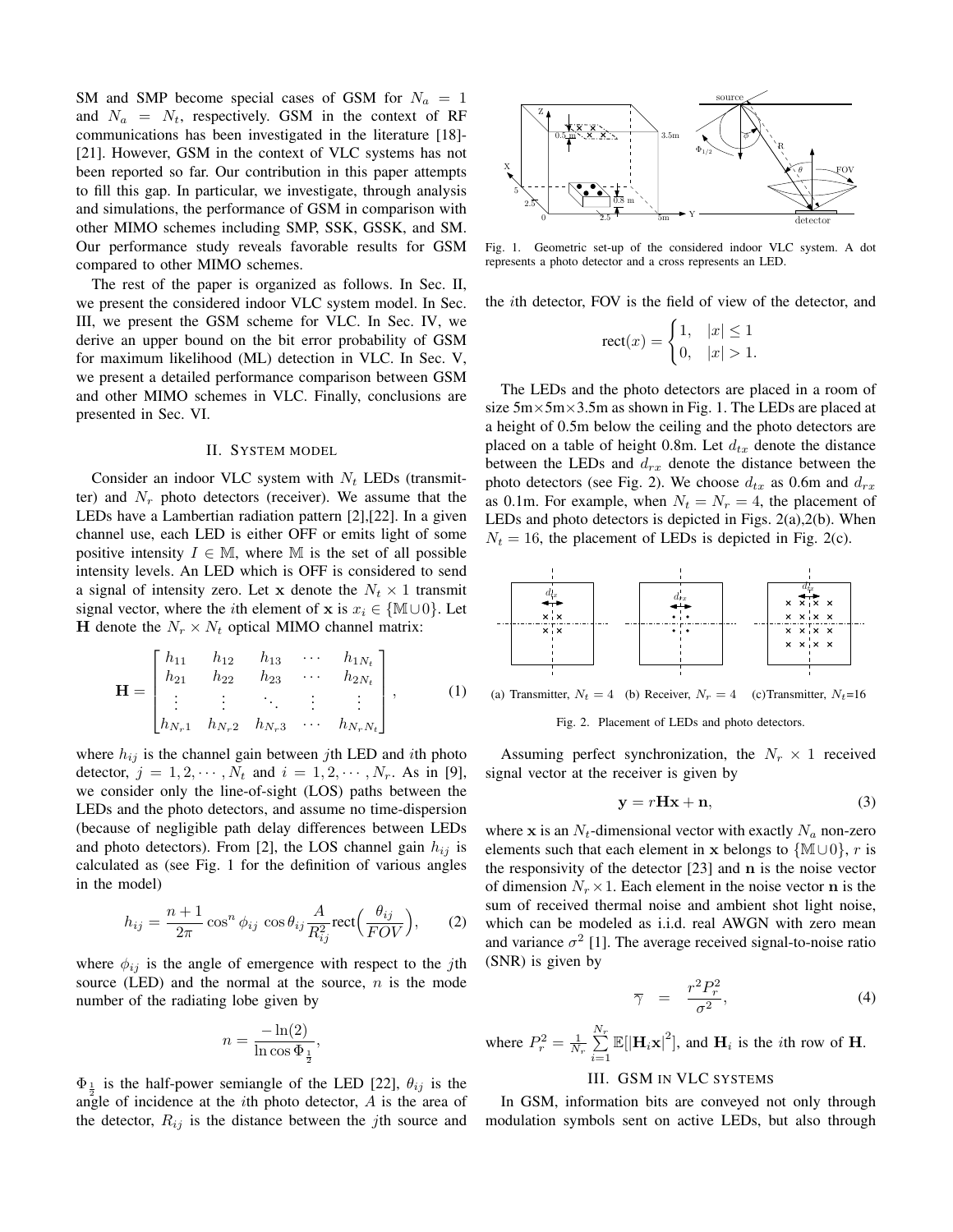SM and SMP become special cases of GSM for  $N_a = 1$ and  $N_a = N_t$ , respectively. GSM in the context of RF communications has been investigated in the literature [18]- [21]. However, GSM in the context of VLC systems has not been reported so far. Our contribution in this paper attempts to fill this gap. In particular, we investigate, through analysis and simulations, the performance of GSM in comparison with other MIMO schemes including SMP, SSK, GSSK, and SM. Our performance study reveals favorable results for GSM compared to other MIMO schemes.

The rest of the paper is organized as follows. In Sec. II, we present the considered indoor VLC system model. In Sec. III, we present the GSM scheme for VLC. In Sec. IV, we derive an upper bound on the bit error probability of GSM for maximum likelihood (ML) detection in VLC. In Sec. V, we present a detailed performance comparison between GSM and other MIMO schemes in VLC. Finally, conclusions are presented in Sec. VI.

#### II. SYSTEM MODEL

Consider an indoor VLC system with  $N_t$  LEDs (transmitter) and  $N_r$  photo detectors (receiver). We assume that the LEDs have a Lambertian radiation pattern [2],[22]. In a given channel use, each LED is either OFF or emits light of some positive intensity  $I \in \mathbb{M}$ , where M is the set of all possible intensity levels. An LED which is OFF is considered to send a signal of intensity zero. Let **x** denote the  $N_t \times 1$  transmit signal vector, where the *i*th element of **x** is  $x_i \in \{M \cup 0\}$ . Let **H** denote the  $N_r \times N_t$  optical MIMO channel matrix:

$$
\mathbf{H} = \begin{bmatrix} h_{11} & h_{12} & h_{13} & \cdots & h_{1N_t} \\ h_{21} & h_{22} & h_{23} & \cdots & h_{2N_t} \\ \vdots & \vdots & \ddots & \vdots & \vdots \\ h_{N_r1} & h_{N_r2} & h_{N_r3} & \cdots & h_{N_rN_t} \end{bmatrix},
$$
 (1)

where  $h_{ij}$  is the channel gain between jth LED and ith photo detector,  $j = 1, 2, \dots, N_t$  and  $i = 1, 2, \dots, N_r$ . As in [9], we consider only the line-of-sight (LOS) paths between the LEDs and the photo detectors, and assume no time-dispersion (because of negligible path delay differences between LEDs and photo detectors). From [2], the LOS channel gain  $h_{ij}$  is calculated as (see Fig. 1 for the definition of various angles in the model)

$$
h_{ij} = \frac{n+1}{2\pi} \cos^n \phi_{ij} \cos \theta_{ij} \frac{A}{R_{ij}^2} \text{rect}\Big(\frac{\theta_{ij}}{FOV}\Big), \qquad (2)
$$

where  $\phi_{ij}$  is the angle of emergence with respect to the jth source (LED) and the normal at the source,  $n$  is the mode number of the radiating lobe given by

$$
n = \frac{-\ln(2)}{\ln \cos \Phi_{\frac{1}{2}}},
$$

 $\Phi_{\frac{1}{2}}$  is the half-power semiangle of the LED [22],  $\theta_{ij}$  is the angle of incidence at the *i*th photo detector A is the area of angle of incidence at the  $i$ th photo detector,  $A$  is the area of the detector,  $R_{ij}$  is the distance between the jth source and



Fig. 1. Geometric set-up of the considered indoor VLC system. A dot represents a photo detector and a cross represents an LED.

the ith detector, FOV is the field of view of the detector, and

$$
rect(x) = \begin{cases} 1, & |x| \le 1 \\ 0, & |x| > 1. \end{cases}
$$

The LEDs and the photo detectors are placed in a room of size  $5m \times 5m \times 3.5m$  as shown in Fig. 1. The LEDs are placed at a height of 0.5m below the ceiling and the photo detectors are placed on a table of height 0.8m. Let  $d_{tx}$  denote the distance between the LEDs and  $d_{rx}$  denote the distance between the photo detectors (see Fig. 2). We choose  $d_{tx}$  as 0.6m and  $d_{rx}$ as 0.1m. For example, when  $N_t = N_r = 4$ , the placement of LEDs and photo detectors is depicted in Figs. 2(a),2(b). When  $N_t = 16$ , the placement of LEDs is depicted in Fig. 2(c).



(a) Transmitter,  $N_t = 4$  (b) Receiver,  $N_r = 4$  (c) Transmitter,  $N_t=16$ Fig. 2. Placement of LEDs and photo detectors.

Assuming perfect synchronization, the  $N_r \times 1$  received signal vector at the receiver is given by

$$
y = rHx + n,\t\t(3)
$$

where **x** is an  $N_t$ -dimensional vector with exactly  $N_a$  non-zero elements such that each element in **x** belongs to  $\{\mathbb{M}\cup\{0\},\}$  is the responsivity of the detector [23] and **n** is the noise vector of dimension  $N_r \times 1$ . Each element in the noise vector **n** is the sum of received thermal noise and ambient shot light noise, which can be modeled as i.i.d. real AWGN with zero mean and variance  $\sigma^2$  [1]. The average received signal-to-noise ratio (SNR) is given by

$$
\overline{\gamma} = \frac{r^2 P_r^2}{\sigma^2},\tag{4}
$$

where  $P_r^2 = \frac{1}{N_r}$  $\sum_{i=1}^{N_r} \mathbb{E}[|\mathbf{H}_i \mathbf{x}|^2]$ , and  $\mathbf{H}_i$  is the *i*th row of **H**.

# **III. GSM IN VLC SYSTEMS**

In GSM, information bits are conveyed not only through modulation symbols sent on active LEDs, but also through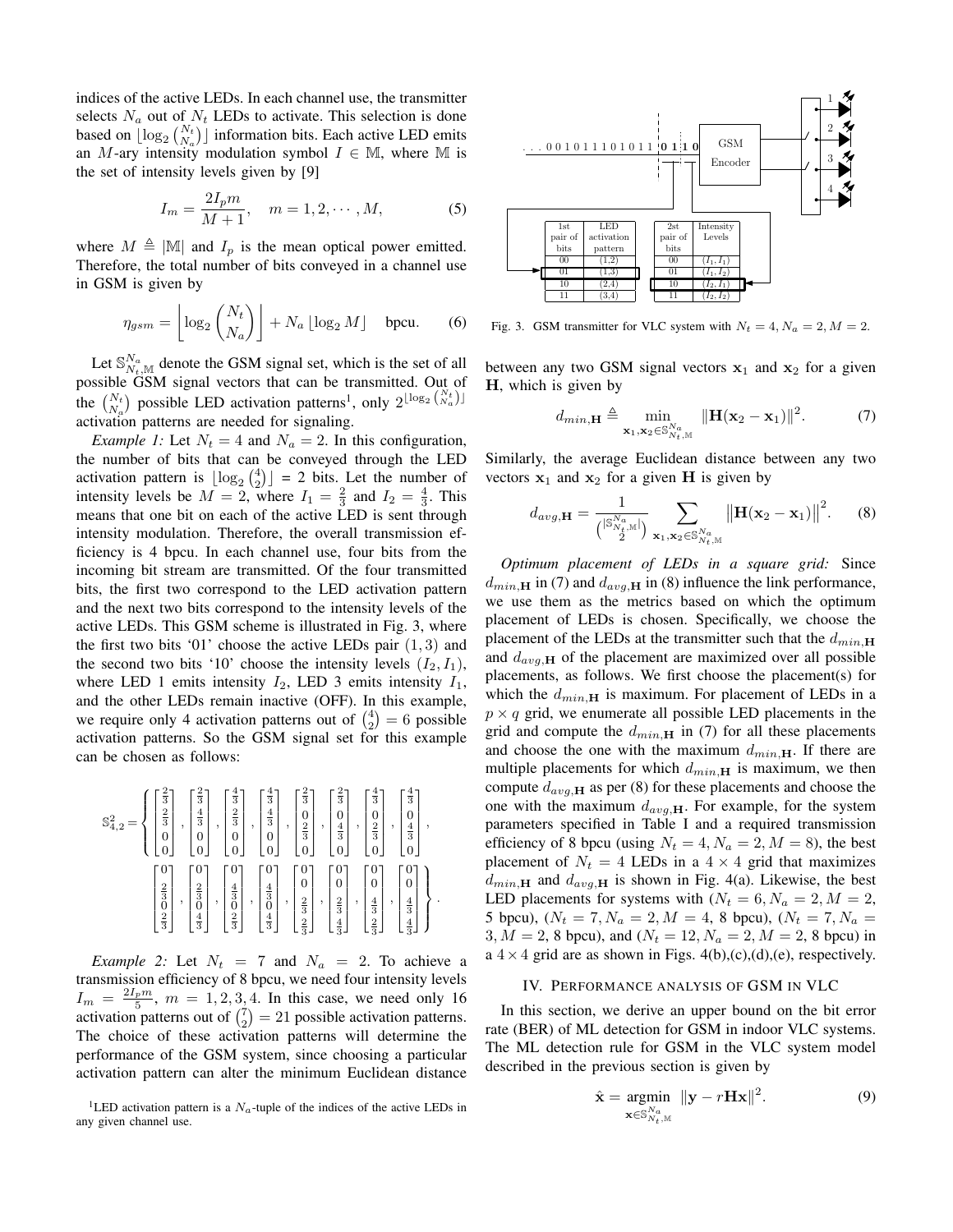indices of the active LEDs. In each channel use, the transmitter selects  $N_a$  out of  $N_t$  LEDs to activate. This selection is done based on  $\lfloor \log_2 \binom{N_t}{N} \rfloor$  information bits. Each active LED emits an M-ary intensity modulation symbol  $I \in \mathbb{M}$ , where M is the set of intensity levels given by [9]

$$
I_m = \frac{2I_p m}{M+1}, \quad m = 1, 2, \cdots, M,
$$
 (5)

where  $M \triangleq |M|$  and  $I_p$  is the mean optical power emitted.<br>Therefore the total number of hits conveyed in a shamel was Therefore, the total number of bits conveyed in a channel use in GSM is given by

$$
\eta_{gsm} = \left\lfloor \log_2 \binom{N_t}{N_a} \right\rfloor + N_a \lfloor \log_2 M \rfloor \quad \text{bpcu.} \tag{6}
$$

Let  $\mathbb{S}_{N_t,M_t}^{N_a}$  denote the GSM signal set, which is the set of all set of all  $\mathbb{S}_{N_t,M_t}$  signal vectors that can be transmitted. Out of possible GSM signal vectors that can be transmitted. Out of the  $\binom{N_t}{N_a}$  possible LED activation patterns<sup>1</sup>, only  $2^{\lfloor \log_2 \binom{N_t}{N_a} \rfloor}$  $\arct{equation}$  patterns are needed for signaling.

*Example 1:* Let  $N_t = 4$  and  $N_a = 2$ . In this configuration, the number of bits that can be conveyed through the LED activation pattern is  $\lfloor \log_2 {4 \choose 2} \rfloor = 2$  bits. Let the number of intensity levels be  $M = 2$ , where  $I_1 = \frac{2}{3}$  and  $I_2 = \frac{4}{3}$ . This means that one bit on each of the active I ED is sent through means that one bit on each of the active LED is sent through intensity modulation. Therefore, the overall transmission efficiency is 4 bpcu. In each channel use, four bits from the incoming bit stream are transmitted. Of the four transmitted bits, the first two correspond to the LED activation pattern and the next two bits correspond to the intensity levels of the active LEDs. This GSM scheme is illustrated in Fig. 3, where the first two bits '01' choose the active LEDs pair  $(1, 3)$  and the second two bits '10' choose the intensity levels  $(I_2, I_1)$ , where LED 1 emits intensity  $I_2$ , LED 3 emits intensity  $I_1$ , and the other LEDs remain inactive (OFF). In this example, we require only 4 activation patterns out of  $\binom{4}{2} = 6$  possible<br>activation patterns. So the GSM signal set for this example activation patterns. So the GSM signal set for this example can be chosen as follows:

$$
S_{4,2}^{2} = \left\{ \begin{bmatrix} \frac{2}{3} \\ \frac{2}{3} \\ 0 \\ 0 \end{bmatrix}, \begin{bmatrix} \frac{2}{3} \\ \frac{4}{3} \\ 0 \\ 0 \end{bmatrix}, \begin{bmatrix} \frac{4}{3} \\ \frac{2}{3} \\ 0 \\ 0 \end{bmatrix}, \begin{bmatrix} \frac{4}{3} \\ \frac{4}{3} \\ 0 \\ 0 \end{bmatrix}, \begin{bmatrix} \frac{2}{3} \\ \frac{4}{3} \\ 0 \\ 0 \end{bmatrix}, \begin{bmatrix} \frac{2}{3} \\ \frac{2}{3} \\ 0 \\ 0 \end{bmatrix}, \begin{bmatrix} \frac{2}{3} \\ \frac{2}{3} \\ 0 \\ 0 \end{bmatrix}, \begin{bmatrix} \frac{4}{3} \\ \frac{4}{3} \\ 0 \\ 0 \end{bmatrix}, \begin{bmatrix} \frac{4}{3} \\ \frac{4}{3} \\ 0 \\ 0 \end{bmatrix}, \begin{bmatrix} \frac{4}{3} \\ \frac{4}{3} \\ 0 \\ 0 \end{bmatrix}, \begin{bmatrix} \frac{4}{3} \\ \frac{4}{3} \\ 0 \\ 0 \\ 0 \end{bmatrix}, \begin{bmatrix} \frac{4}{3} \\ \frac{4}{3} \\ 0 \\ 0 \\ 0 \end{bmatrix}, \begin{bmatrix} \frac{4}{3} \\ \frac{4}{3} \\ 0 \\ 0 \\ 0 \end{bmatrix}, \begin{bmatrix} \frac{4}{3} \\ \frac{4}{3} \\ 0 \\ 0 \\ 0 \\ 0 \end{bmatrix}, \begin{bmatrix} \frac{4}{3} \\ \frac{4}{3} \\ 0 \\ 0 \\ 0 \\ 0 \end{bmatrix}, \begin{bmatrix} \frac{4}{3} \\ \frac{4}{3} \\ 0 \\ 0 \\ 0 \\ 0 \end{bmatrix} \right\}
$$

.

*Example 2:* Let  $N_t = 7$  and  $N_a = 2$ . To achieve a transmission efficiency of 8 bpcu, we need four intensity levels  $I_m = \frac{2I_p m}{5}$ ,  $m = 1, 2, 3, 4$ . In this case, we need only 16 activation patterns out of  $\binom{7}{2} = 21$  possible activation patterns.<br>The choice of these activation patterns will determine the The choice of these activation patterns will determine the performance of the GSM system, since choosing a particular activation pattern can alter the minimum Euclidean distance





Fig. 3. GSM transmitter for VLC system with  $N_t = 4$ ,  $N_a = 2$ ,  $M = 2$ .

between any two GSM signal vectors  $x_1$  and  $x_2$  for a given **H**, which is given by

$$
d_{min,\mathbf{H}} \triangleq \min_{\mathbf{x}_1, \mathbf{x}_2 \in \mathbb{S}_{N_t,\mathbb{M}}^{N_a}} ||\mathbf{H}(\mathbf{x}_2 - \mathbf{x}_1)||^2.
$$
 (7)

Similarly, the average Euclidean distance between any two vectors  $x_1$  and  $x_2$  for a given **H** is given by

$$
d_{avg,H} = \frac{1}{\binom{|S_{N_t,M}^{N_a}|}{2}} \sum_{\mathbf{x}_1, \mathbf{x}_2 \in S_{N_t,M}^{N_a}} ||\mathbf{H}(\mathbf{x}_2 - \mathbf{x}_1)||^2.
$$
 (8)

*Optimum placement of LEDs in a square grid:* Since  $d_{min, \mathbf{H}}$  in (7) and  $d_{avg, \mathbf{H}}$  in (8) influence the link performance, we use them as the metrics based on which the optimum placement of LEDs is chosen. Specifically, we choose the placement of the LEDs at the transmitter such that the  $d_{min, \mathbf{H}}$ and  $d_{avg,H}$  of the placement are maximized over all possible placements, as follows. We first choose the placement(s) for which the  $d_{min,H}$  is maximum. For placement of LEDs in a  $p \times q$  grid, we enumerate all possible LED placements in the grid and compute the  $d_{min, \mathbf{H}}$  in (7) for all these placements and choose the one with the maximum  $d_{min, \mathbf{H}}$ . If there are multiple placements for which  $d_{min, \mathbf{H}}$  is maximum, we then compute  $d_{avg,H}$  as per (8) for these placements and choose the one with the maximum  $d_{avg,H}$ . For example, for the system parameters specified in Table I and a required transmission efficiency of 8 bpcu (using  $N_t = 4, N_a = 2, M = 8$ ), the best placement of  $N_t = 4$  LEDs in a  $4 \times 4$  grid that maximizes  $d_{min, \mathbf{H}}$  and  $d_{avg, \mathbf{H}}$  is shown in Fig. 4(a). Likewise, the best  $\mathbf{H} = \mathbf{H} \times \mathbf{H}$  and  $d_{avg, \mathbf{H}}$  is shown with  $(N = 6, N = 2, M = 2)$ . LED placements for systems with  $(N_t = 6, N_a = 2, M = 2,$ 5 bpcu),  $(N_t = 7, N_a = 2, M = 4, 8$  bpcu),  $(N_t = 7, N_a = 1)$  $3, M = 2, 8$  bpcu), and  $(N_t = 12, N_a = 2, M = 2, 8$  bpcu) in a  $4 \times 4$  grid are as shown in Figs. 4(b),(c),(d),(e), respectively.

## IV. PERFORMANCE ANALYSIS OF GSM IN VLC

In this section, we derive an upper bound on the bit error rate (BER) of ML detection for GSM in indoor VLC systems. The ML detection rule for GSM in the VLC system model described in the previous section is given by

$$
\hat{\mathbf{x}} = \underset{\mathbf{x} \in \mathbb{S}_{N_t,M}^{N_a}}{\operatorname{argmin}} \|\mathbf{y} - r\mathbf{H}\mathbf{x}\|^2. \tag{9}
$$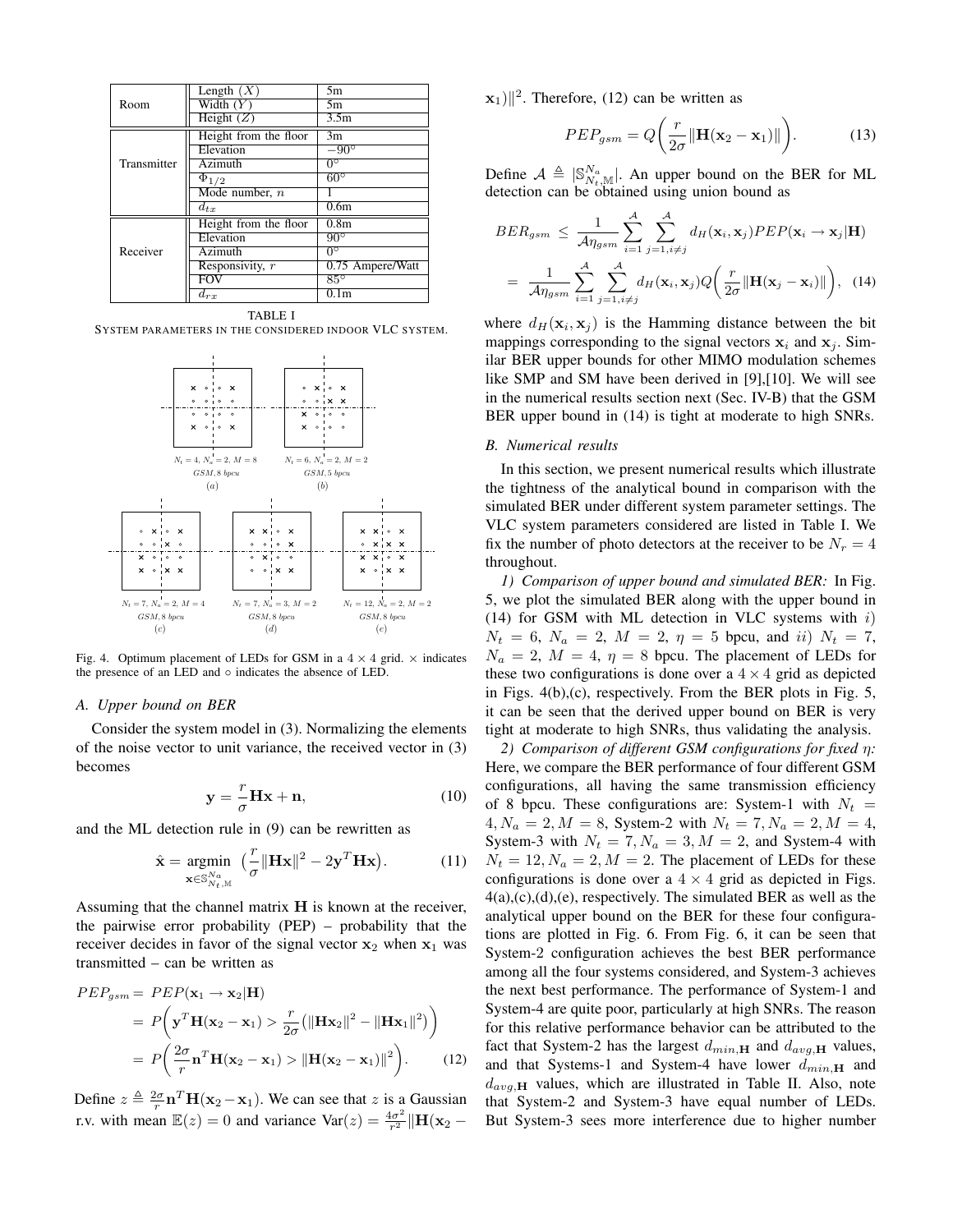| Length $(X)$          | 5m                     |
|-----------------------|------------------------|
| Width $(Y)$           | 5m                     |
| Height $(Z)$          | 3.5m                   |
| Height from the floor | 3m                     |
| Elevation             | $-90^{\circ}$          |
| Azimuth               | $0^{\circ}$            |
|                       | $60^{\circ}$           |
| Mode number, $n$      |                        |
| $d_{tx}$              | 0.6 <sub>m</sub>       |
| Height from the floor | 0.8 <sub>m</sub>       |
| Elevation             | $90^{\circ}$           |
| Azimuth               | $\overline{0^{\circ}}$ |
| Responsivity, $r$     | 0.75 Ampere/Watt       |
| FOV                   | $85^\circ$             |
| $d_{rx}$              | 0.1 <sub>m</sub>       |
|                       | $\Phi_{1/2}$           |

TABLE I

SYSTEM PARAMETERS IN THE CONSIDERED INDOOR VLC SYSTEM.



Fig. 4. Optimum placement of LEDs for GSM in a  $4 \times 4$  grid.  $\times$  indicates the presence of an LED and ◦ indicates the absence of LED.

#### *A. Upper bound on BER*

Consider the system model in (3). Normalizing the elements of the noise vector to unit variance, the received vector in (3) becomes

$$
\mathbf{y} = -\frac{r}{\sigma} \mathbf{H} \mathbf{x} + \mathbf{n},\tag{10}
$$

and the ML detection rule in (9) can be rewritten as

$$
\hat{\mathbf{x}} = \underset{\mathbf{x} \in \mathbb{S}_{N_t,M}^{N_a}}{\text{argmin}} \left( \frac{r}{\sigma} ||\mathbf{H}\mathbf{x}||^2 - 2\mathbf{y}^T \mathbf{H}\mathbf{x} \right). \tag{11}
$$

Assuming that the channel matrix **H** is known at the receiver, the pairwise error probability (PEP) – probability that the receiver decides in favor of the signal vector  $x_2$  when  $x_1$  was transmitted – can be written as

$$
PEP_{gsm} = PEP(\mathbf{x}_1 \rightarrow \mathbf{x}_2 | \mathbf{H})
$$
  
=  $P\left(\mathbf{y}^T \mathbf{H}(\mathbf{x}_2 - \mathbf{x}_1) > \frac{r}{2\sigma} (\|\mathbf{H}\mathbf{x}_2\|^2 - \|\mathbf{H}\mathbf{x}_1\|^2) \right)$   
=  $P\left(\frac{2\sigma}{r} \mathbf{n}^T \mathbf{H}(\mathbf{x}_2 - \mathbf{x}_1) > \|\mathbf{H}(\mathbf{x}_2 - \mathbf{x}_1)\|^2 \right).$  (12)

Define  $z \triangleq \frac{2\sigma}{r} \mathbf{n}^T \mathbf{H}(\mathbf{x}_2 - \mathbf{x}_1)$ . We can see that z is a Gaussian r.v. with mean  $\mathbb{E}(z) = 0$  and variance  $\text{Var}(z) = \frac{4\sigma^2}{r^2} ||\mathbf{H}(\mathbf{x}_2 - \mathbf{F})||$   $\mathbf{x}_1$ )||<sup>2</sup>. Therefore, (12) can be written as

$$
PEP_{gsm} = Q\bigg(\frac{r}{2\sigma} \|\mathbf{H}(\mathbf{x}_2 - \mathbf{x}_1)\|\bigg). \tag{13}
$$

Define  $A \triangleq |\mathbb{S}_{N_a}^{N_a}||$ . An upper bound on the BER for ML detection can be obtained using union bound as detection can be obtained using union bound as

$$
BER_{gsm} \leq \frac{1}{\mathcal{A}\eta_{gsm}} \sum_{i=1}^{\mathcal{A}} \sum_{j=1, i \neq j}^{\mathcal{A}} d_H(\mathbf{x}_i, \mathbf{x}_j) PEP(\mathbf{x}_i \to \mathbf{x}_j | \mathbf{H})
$$

$$
= \frac{1}{\mathcal{A}\eta_{gsm}} \sum_{i=1}^{\mathcal{A}} \sum_{j=1, i \neq j}^{\mathcal{A}} d_H(\mathbf{x}_i, \mathbf{x}_j) Q\left(\frac{r}{2\sigma} \|\mathbf{H}(\mathbf{x}_j - \mathbf{x}_i)\|\right), \quad (14)
$$

where  $d_H(\mathbf{x}_i, \mathbf{x}_j)$  is the Hamming distance between the bit mappings corresponding to the signal vectors  $x_i$  and  $x_j$ . Similar BER upper bounds for other MIMO modulation schemes like SMP and SM have been derived in [9],[10]. We will see in the numerical results section next (Sec. IV-B) that the GSM BER upper bound in (14) is tight at moderate to high SNRs.

## *B. Numerical results*

In this section, we present numerical results which illustrate the tightness of the analytical bound in comparison with the simulated BER under different system parameter settings. The VLC system parameters considered are listed in Table I. We fix the number of photo detectors at the receiver to be  $N_r = 4$ throughout.

*1) Comparison of upper bound and simulated BER:* In Fig. 5, we plot the simulated BER along with the upper bound in (14) for GSM with ML detection in VLC systems with  $i$ )  $N_t = 6$ ,  $N_a = 2$ ,  $M = 2$ ,  $\eta = 5$  bpcu, and ii)  $N_t = 7$ ,<br> $N_t = 2$ ,  $M_t = 4$ ,  $n_t = 8$  bpcu. The placement of LEDs for  $N_a = 2$ ,  $M = 4$ ,  $\eta = 8$  bpcu. The placement of LEDs for these two configurations is done over  $3.4 \times 4$  grid as depicted these two configurations is done over a  $4 \times 4$  grid as depicted in Figs. 4(b),(c), respectively. From the BER plots in Fig. 5, it can be seen that the derived upper bound on BER is very tight at moderate to high SNRs, thus validating the analysis.

*2) Comparison of different GSM configurations for fixed* η*:* Here, we compare the BER performance of four different GSM configurations, all having the same transmission efficiency of 8 bpcu. These configurations are: System-1 with  $N_t =$  $4, N_a = 2, M = 8$ , System-2 with  $N_t = 7, N_a = 2, M = 4$ , System-3 with  $N_t = 7, N_a = 3, M = 2$ , and System-4 with  $N_t = 12, N_a = 2, M = 2$ . The placement of LEDs for these configurations is done over a  $4 \times 4$  grid as depicted in Figs. configurations is done over a  $4 \times 4$  grid as depicted in Figs.  $4(a), (c), (d), (e)$ , respectively. The simulated BER as well as the analytical upper bound on the BER for these four configurations are plotted in Fig. 6. From Fig. 6, it can be seen that System-2 configuration achieves the best BER performance among all the four systems considered, and System-3 achieves the next best performance. The performance of System-1 and System-4 are quite poor, particularly at high SNRs. The reason for this relative performance behavior can be attributed to the fact that System-2 has the largest  $d_{min, \mathbf{H}}$  and  $d_{avg, \mathbf{H}}$  values, and that Systems-1 and System-4 have lower  $d_{min, \mathbf{H}}$  and  $d_{avg,H}$  values, which are illustrated in Table II. Also, note that System-2 and System-3 have equal number of LEDs. But System-3 sees more interference due to higher number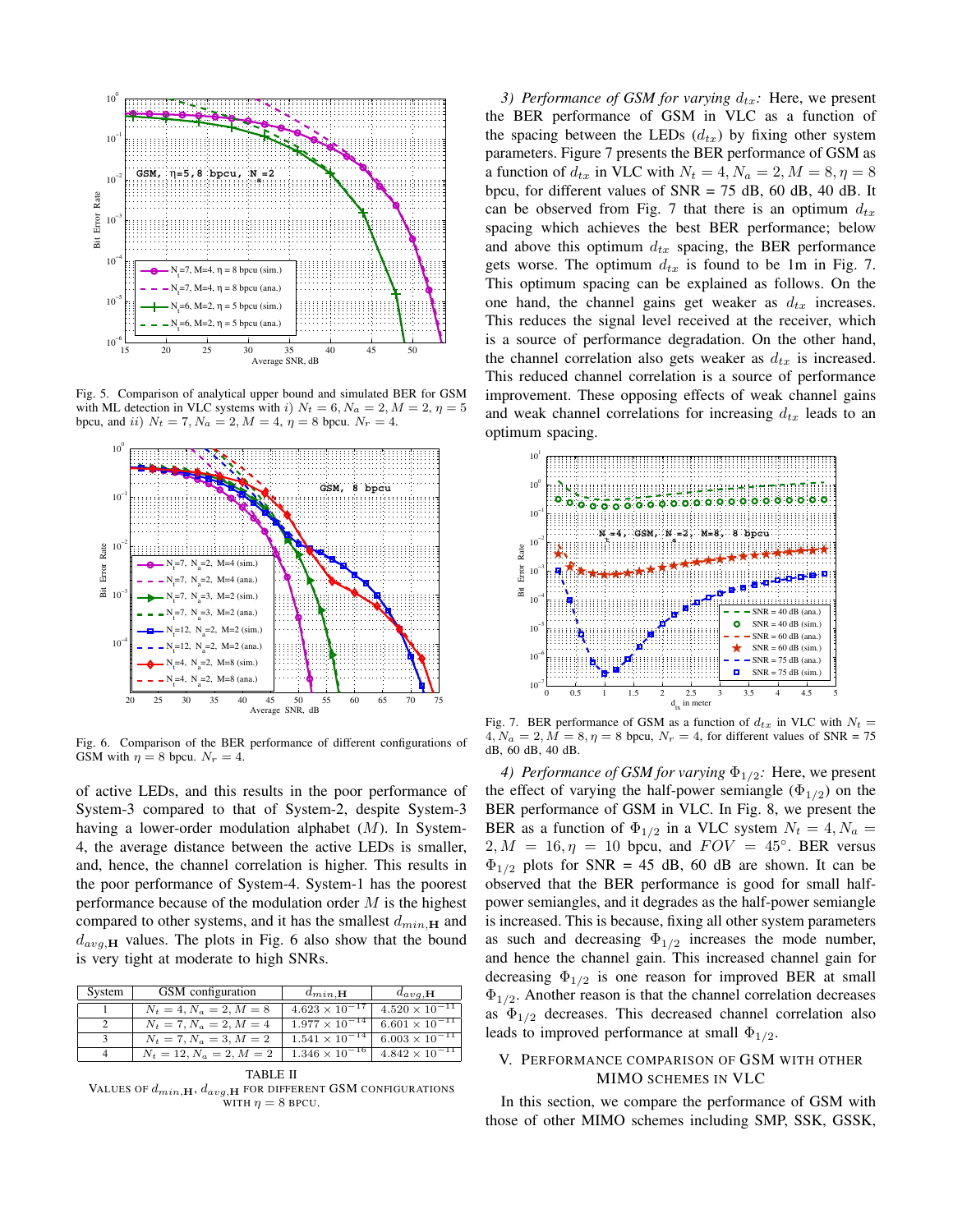

Fig. 5. Comparison of analytical upper bound and simulated BER for GSM with ML detection in VLC systems with i)  $N_t = 6, N_a = 2, M = 2, \eta = 5$ bpcu, and *ii*)  $N_t = 7, N_a = 2, M = 4, \eta = 8$  bpcu.  $N_r = 4$ .



Fig. 6. Comparison of the BER performance of different configurations of GSM with  $\eta = 8$  bpcu.  $N_r = 4$ .

of active LEDs, and this results in the poor performance of System-3 compared to that of System-2, despite System-3 having a lower-order modulation alphabet  $(M)$ . In System-4, the average distance between the active LEDs is smaller, and, hence, the channel correlation is higher. This results in the poor performance of System-4. System-1 has the poorest performance because of the modulation order  $M$  is the highest compared to other systems, and it has the smallest  $d_{min, \mathbf{H}}$  and  $d_{avg,H}$  values. The plots in Fig. 6 also show that the bound is very tight at moderate to high SNRs.

| System | GSM configuration          | $d_{min, \mathbf{H}}$              | $d_{avg,H}$             |
|--------|----------------------------|------------------------------------|-------------------------|
|        | $N_t = 4, N_a = 2, M = 8$  | $4.623 \times 10^{-17}$            | $4.520 \times 10^{-11}$ |
|        | $N_t = 7, N_a = 2, M = 4$  | $1.977 \times 10^{-14}$            | $6.601 \times 10^{-11}$ |
|        | $N_t = 7, N_a = 3, M = 2$  | $\overline{1.541 \times 10^{-14}}$ | $6.003 \times 10^{-11}$ |
|        | $N_t = 12, N_a = 2, M = 2$ | $1.346 \times 10^{-16}$            | $4.842 \times 10^{-11}$ |

TABLE II VALUES OF <sup>d</sup>*min,***H**, <sup>d</sup>*avg,***<sup>H</sup>** FOR DIFFERENT GSM CONFIGURATIONS WITH  $\eta = 8$  BPCU.

*3) Performance of GSM for varying*  $d_{tx}$ : Here, we present the BER performance of GSM in VLC as a function of the spacing between the LEDs  $(d_{tx})$  by fixing other system parameters. Figure 7 presents the BER performance of GSM as a function of  $d_{tx}$  in VLC with  $N_t = 4, N_a = 2, M = 8, \eta = 8$ bpcu, for different values of  $SNR = 75$  dB, 60 dB, 40 dB. It can be observed from Fig. 7 that there is an optimum  $d_{tx}$ spacing which achieves the best BER performance; below and above this optimum  $d_{tx}$  spacing, the BER performance gets worse. The optimum  $d_{tx}$  is found to be 1m in Fig. 7. This optimum spacing can be explained as follows. On the one hand, the channel gains get weaker as  $d_{tx}$  increases. This reduces the signal level received at the receiver, which is a source of performance degradation. On the other hand, the channel correlation also gets weaker as  $d_{tx}$  is increased. This reduced channel correlation is a source of performance improvement. These opposing effects of weak channel gains and weak channel correlations for increasing  $d_{tx}$  leads to an optimum spacing.



Fig. 7. BER performance of GSM as a function of  $d_{tx}$  in VLC with  $N_t =$  $4, N_a = 2, M = 8, \eta = 8$  bpcu,  $N_r = 4$ , for different values of SNR = 75 dB, 60 dB, 40 dB.

*4) Performance of GSM for varying* <sup>Φ</sup>1/2*:* Here, we present the effect of varying the half-power semiangle  $(\Phi_{1/2})$  on the BER performance of GSM in VLC. In Fig. 8, we present the BER as a function of  $\Phi_{1/2}$  in a VLC system  $N_t = 4, N_a =$  $2, M = 16, \eta = 10$  bpcu, and  $FOV = 45^{\circ}$ . BER versus  $\Phi_{1/2}$  plots for SNR = 45 dB, 60 dB are shown. It can be observed that the BER performance is good for small halfpower semiangles, and it degrades as the half-power semiangle is increased. This is because, fixing all other system parameters as such and decreasing  $\Phi_{1/2}$  increases the mode number, and hence the channel gain. This increased channel gain for decreasing  $\Phi_{1/2}$  is one reason for improved BER at small  $\Phi_{1/2}$ . Another reason is that the channel correlation decreases as  $\Phi_{1/2}$  decreases. This decreased channel correlation also leads to improved performance at small  $\Phi_{1/2}$ .

# V. PERFORMANCE COMPARISON OF GSM WITH OTHER MIMO SCHEMES IN VLC

In this section, we compare the performance of GSM with those of other MIMO schemes including SMP, SSK, GSSK,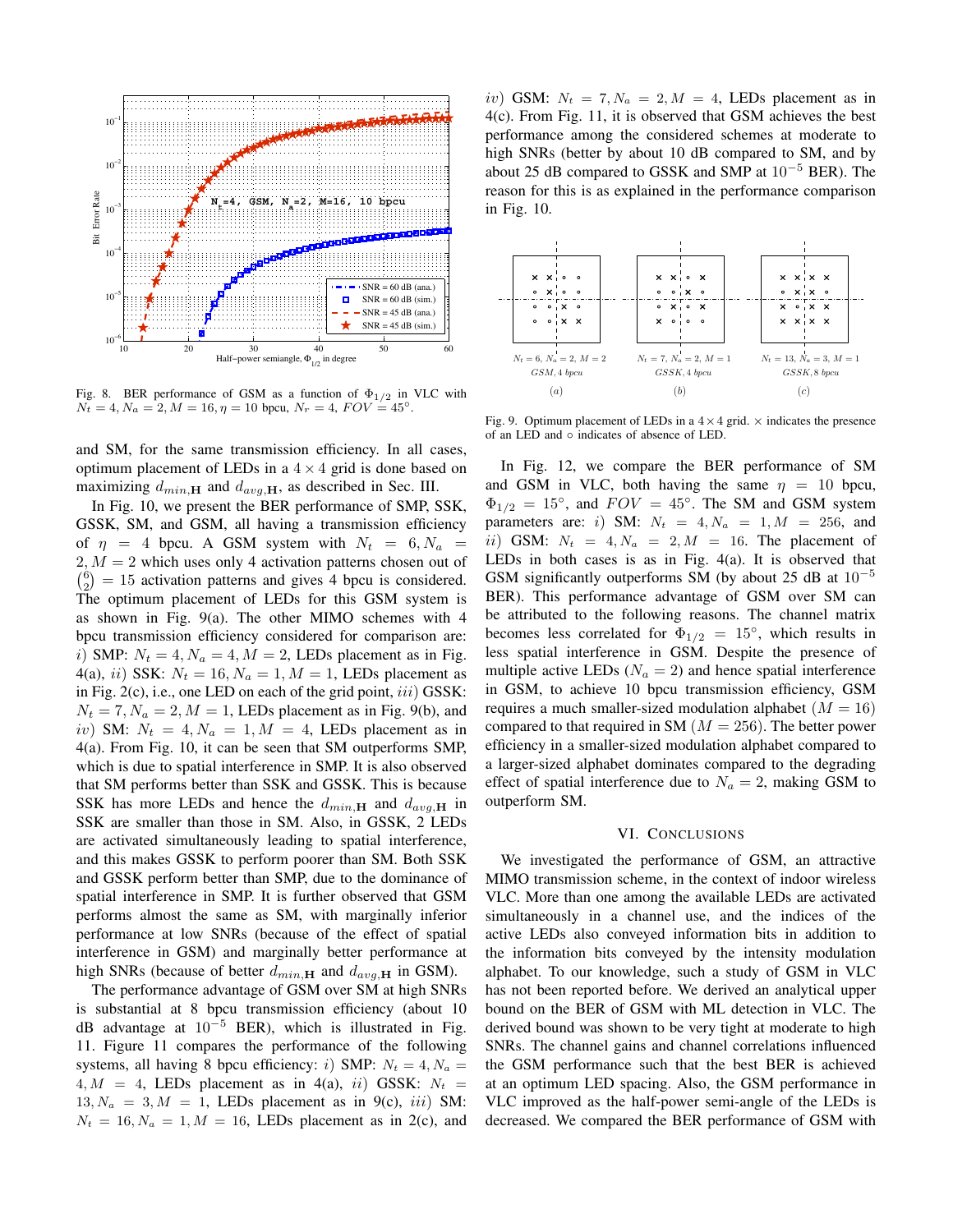

Fig. 8. BER performance of GSM as a function of  $\Phi_{1/2}$  in VLC with  $N_t = 4, N_a = 2, M = 16, \eta = 10$  bpcu,  $N_r = 4, FOV = 45^\circ$ .

and SM, for the same transmission efficiency. In all cases, optimum placement of LEDs in a  $4 \times 4$  grid is done based on maximizing  $d_{min, \mathbf{H}}$  and  $d_{avg, \mathbf{H}}$ , as described in Sec. III.

In Fig. 10, we present the BER performance of SMP, SSK, GSSK, SM, and GSM, all having a transmission efficiency of  $\eta = 4$  bpcu. A GSM system with  $N_t = 6, N_a =$  $2, M = 2$  which uses only 4 activation patterns chosen out of  $\binom{6}{2} = 15$  activation patterns and gives 4 bpcu is considered.<br>The optimum placement of LEDs for this GSM system is The optimum placement of LEDs for this GSM system is as shown in Fig. 9(a). The other MIMO schemes with 4 bpcu transmission efficiency considered for comparison are: i) SMP:  $N_t = 4, N_a = 4, M = 2$ , LEDs placement as in Fig. 4(a), *ii*) SSK:  $N_t = 16, N_a = 1, M = 1$ , LEDs placement as in Fig.  $2(c)$ , i.e., one LED on each of the grid point,  $iii)$  GSSK:  $N_t = 7$ ,  $N_a = 2$ ,  $M = 1$ , LEDs placement as in Fig. 9(b), and  $N_t = 4$ ,  $N_t = 1$ ,  $M = 4$ , J. EDs, placement as in iv) SM:  $N_t = 4, N_a = 1, M = 4$ , LEDs placement as in 4(a). From Fig. 10, it can be seen that SM outperforms SMP, which is due to spatial interference in SMP. It is also observed that SM performs better than SSK and GSSK. This is because SSK has more LEDs and hence the  $d_{min, \mathbf{H}}$  and  $d_{avg, \mathbf{H}}$  in SSK are smaller than those in SM. Also, in GSSK, 2 LEDs are activated simultaneously leading to spatial interference, and this makes GSSK to perform poorer than SM. Both SSK and GSSK perform better than SMP, due to the dominance of spatial interference in SMP. It is further observed that GSM performs almost the same as SM, with marginally inferior performance at low SNRs (because of the effect of spatial interference in GSM) and marginally better performance at high SNRs (because of better  $d_{min, \mathbf{H}}$  and  $d_{avg, \mathbf{H}}$  in GSM).

The performance advantage of GSM over SM at high SNRs is substantial at 8 bpcu transmission efficiency (about 10 dB advantage at  $10^{-5}$  BER), which is illustrated in Fig. 11. Figure 11 compares the performance of the following systems, all having 8 bpcu efficiency: *i*) SMP:  $N_t = 4$ ,  $N_a =$  $4, M = 4$ , LEDs placement as in  $4(a), ii)$  GSSK:  $N_t =$  $13, N_a = 3, M = 1$ , LEDs placement as in 9(c), *iii*) SM:  $N_t = 16, N_a = 1, M = 16$ , LEDs placement as in 2(c), and iv) GSM:  $N_t = 7, N_a = 2, M = 4$ , LEDs placement as in 4(c). From Fig. 11, it is observed that GSM achieves the best performance among the considered schemes at moderate to high SNRs (better by about 10 dB compared to SM, and by about 25 dB compared to GSSK and SMP at  $10^{-5}$  BER). The reason for this is as explained in the performance comparison in Fig. 10.



Fig. 9. Optimum placement of LEDs in a  $4 \times 4$  grid.  $\times$  indicates the presence of an LED and ◦ indicates of absence of LED.

In Fig. 12, we compare the BER performance of SM and GSM in VLC, both having the same  $\eta = 10$  bpcu,  $\Phi_{1/2} = 15^{\circ}$ , and  $FOV = 45^{\circ}$ . The SM and GSM system parameters are: i) SM:  $N_t = 4, N_a = 1, M = 256$ , and ii) GSM:  $N_t = 4, N_a = 2, M = 16$ . The placement of LEDs in both cases is as in Fig. 4(a). It is observed that GSM significantly outperforms SM (by about 25 dB at  $10^{-5}$ ) BER). This performance advantage of GSM over SM can be attributed to the following reasons. The channel matrix becomes less correlated for  $\Phi_{1/2} = 15^{\circ}$ , which results in less spatial interference in GSM. Despite the presence of multiple active LEDs ( $N_a = 2$ ) and hence spatial interference in GSM, to achieve 10 bpcu transmission efficiency, GSM requires a much smaller-sized modulation alphabet  $(M = 16)$ compared to that required in SM  $(M = 256)$ . The better power efficiency in a smaller-sized modulation alphabet compared to a larger-sized alphabet dominates compared to the degrading effect of spatial interference due to  $N_a = 2$ , making GSM to outperform SM.

#### VI. CONCLUSIONS

We investigated the performance of GSM, an attractive MIMO transmission scheme, in the context of indoor wireless VLC. More than one among the available LEDs are activated simultaneously in a channel use, and the indices of the active LEDs also conveyed information bits in addition to the information bits conveyed by the intensity modulation alphabet. To our knowledge, such a study of GSM in VLC has not been reported before. We derived an analytical upper bound on the BER of GSM with ML detection in VLC. The derived bound was shown to be very tight at moderate to high SNRs. The channel gains and channel correlations influenced the GSM performance such that the best BER is achieved at an optimum LED spacing. Also, the GSM performance in VLC improved as the half-power semi-angle of the LEDs is decreased. We compared the BER performance of GSM with